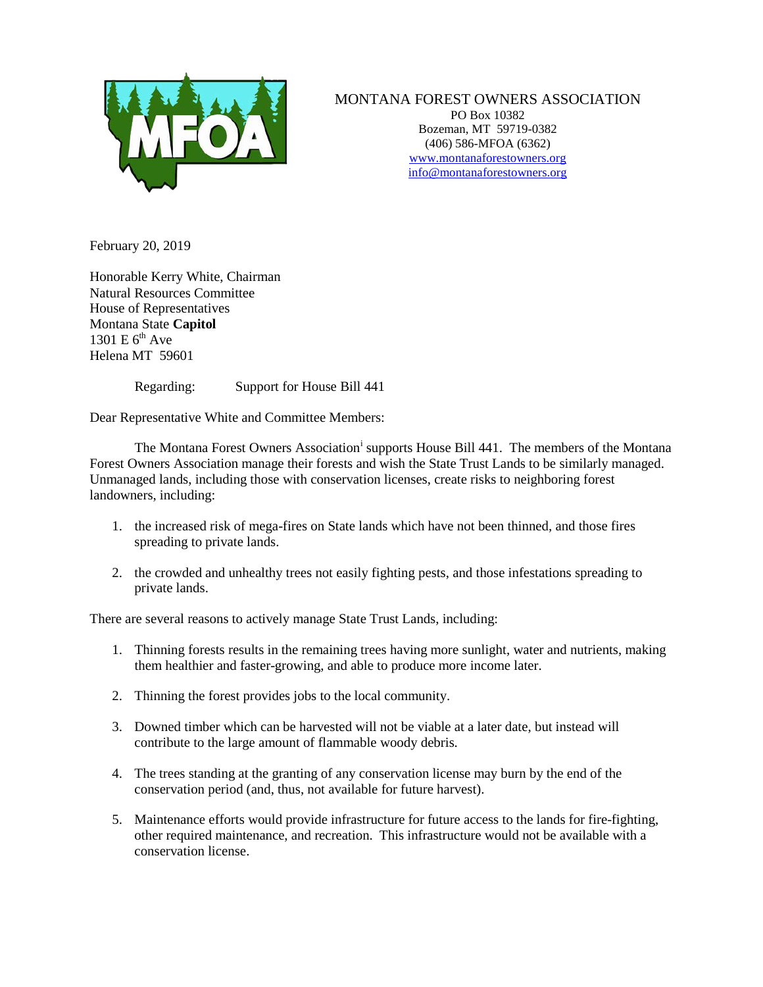

MONTANA FOREST OWNERS ASSOCIATION PO Box 10382 Bozeman, MT 59719-0382 (406) 586-MFOA (6362) www.montanaforestowners.org [info@montanaforestowners.org](mailto:MFOA@mjchristianson.com)

February 20, 2019

Honorable Kerry White, Chairman Natural Resources Committee House of Representatives Montana State **Capitol** 1301 E  $6<sup>th</sup>$  Ave Helena MT 59601

Regarding: Support for House Bill 441

Dear Representative White and Committee Members:

The Montana Forest Owners Assoc[i](#page-1-0)ation<sup>i</sup> supports House Bill 441. The members of the Montana Forest Owners Association manage their forests and wish the State Trust Lands to be similarly managed. Unmanaged lands, including those with conservation licenses, create risks to neighboring forest landowners, including:

- 1. the increased risk of mega-fires on State lands which have not been thinned, and those fires spreading to private lands.
- 2. the crowded and unhealthy trees not easily fighting pests, and those infestations spreading to private lands.

There are several reasons to actively manage State Trust Lands, including:

- 1. Thinning forests results in the remaining trees having more sunlight, water and nutrients, making them healthier and faster-growing, and able to produce more income later.
- 2. Thinning the forest provides jobs to the local community.
- 3. Downed timber which can be harvested will not be viable at a later date, but instead will contribute to the large amount of flammable woody debris.
- 4. The trees standing at the granting of any conservation license may burn by the end of the conservation period (and, thus, not available for future harvest).
- 5. Maintenance efforts would provide infrastructure for future access to the lands for fire-fighting, other required maintenance, and recreation. This infrastructure would not be available with a conservation license.